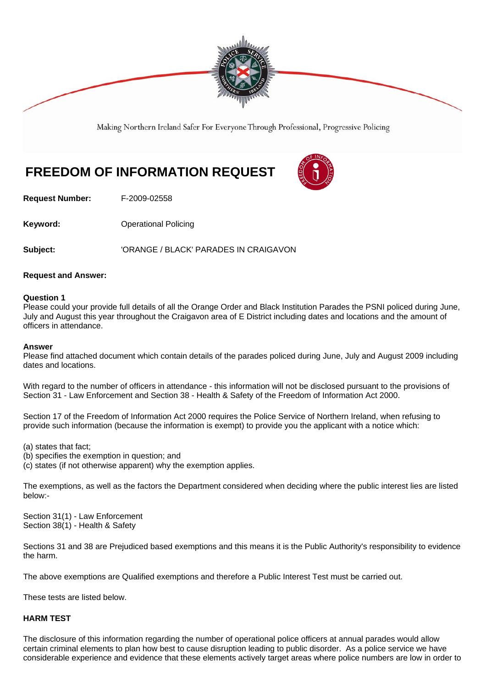

Making Northern Ireland Safer For Everyone Through Professional, Progressive Policing

# **FREEDOM OF INFORMATION REQUEST**



**Request Number:** F-2009-02558

**Keyword: Conservery Operational Policing** 

**Subject:** 'ORANGE / BLACK' PARADES IN CRAIGAVON

# **Request and Answer:**

## **Question 1**

Please could your provide full details of all the Orange Order and Black Institution Parades the PSNI policed during June, July and August this year throughout the Craigavon area of E District including dates and locations and the amount of officers in attendance.

## **Answer**

Please find attached document which contain details of the parades policed during June, July and August 2009 including dates and locations.

With regard to the number of officers in attendance - this information will not be disclosed pursuant to the provisions of Section 31 - Law Enforcement and Section 38 - Health & Safety of the Freedom of Information Act 2000.

Section 17 of the Freedom of Information Act 2000 requires the Police Service of Northern Ireland, when refusing to provide such information (because the information is exempt) to provide you the applicant with a notice which:

(a) states that fact;

(b) specifies the exemption in question; and

(c) states (if not otherwise apparent) why the exemption applies.

The exemptions, as well as the factors the Department considered when deciding where the public interest lies are listed below:-

Section 31(1) - Law Enforcement Section 38(1) - Health & Safety

Sections 31 and 38 are Prejudiced based exemptions and this means it is the Public Authority's responsibility to evidence the harm.

The above exemptions are Qualified exemptions and therefore a Public Interest Test must be carried out.

These tests are listed below.

# **HARM TEST**

The disclosure of this information regarding the number of operational police officers at annual parades would allow certain criminal elements to plan how best to cause disruption leading to public disorder. As a police service we have considerable experience and evidence that these elements actively target areas where police numbers are low in order to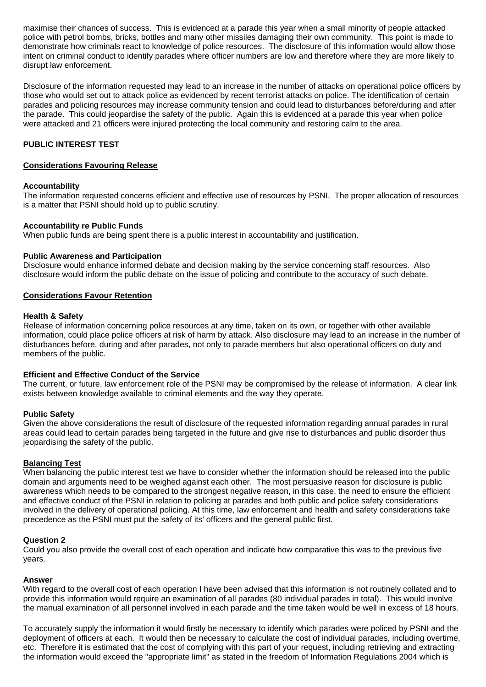maximise their chances of success. This is evidenced at a parade this year when a small minority of people attacked police with petrol bombs, bricks, bottles and many other missiles damaging their own community. This point is made to demonstrate how criminals react to knowledge of police resources. The disclosure of this information would allow those intent on criminal conduct to identify parades where officer numbers are low and therefore where they are more likely to disrupt law enforcement.

Disclosure of the information requested may lead to an increase in the number of attacks on operational police officers by those who would set out to attack police as evidenced by recent terrorist attacks on police. The identification of certain parades and policing resources may increase community tension and could lead to disturbances before/during and after the parade. This could jeopardise the safety of the public. Again this is evidenced at a parade this year when police were attacked and 21 officers were injured protecting the local community and restoring calm to the area.

# **PUBLIC INTEREST TEST**

## **Considerations Favouring Release**

#### **Accountability**

The information requested concerns efficient and effective use of resources by PSNI. The proper allocation of resources is a matter that PSNI should hold up to public scrutiny.

## **Accountability re Public Funds**

When public funds are being spent there is a public interest in accountability and justification.

#### **Public Awareness and Participation**

Disclosure would enhance informed debate and decision making by the service concerning staff resources. Also disclosure would inform the public debate on the issue of policing and contribute to the accuracy of such debate.

#### **Considerations Favour Retention**

### **Health & Safety**

Release of information concerning police resources at any time, taken on its own, or together with other available information, could place police officers at risk of harm by attack. Also disclosure may lead to an increase in the number of disturbances before, during and after parades, not only to parade members but also operational officers on duty and members of the public.

#### **Efficient and Effective Conduct of the Service**

The current, or future, law enforcement role of the PSNI may be compromised by the release of information. A clear link exists between knowledge available to criminal elements and the way they operate.

#### **Public Safety**

Given the above considerations the result of disclosure of the requested information regarding annual parades in rural areas could lead to certain parades being targeted in the future and give rise to disturbances and public disorder thus jeopardising the safety of the public.

# **Balancing Test**

When balancing the public interest test we have to consider whether the information should be released into the public domain and arguments need to be weighed against each other. The most persuasive reason for disclosure is public awareness which needs to be compared to the strongest negative reason, in this case, the need to ensure the efficient and effective conduct of the PSNI in relation to policing at parades and both public and police safety considerations involved in the delivery of operational policing. At this time, law enforcement and health and safety considerations take precedence as the PSNI must put the safety of its' officers and the general public first.

#### **Question 2**

Could you also provide the overall cost of each operation and indicate how comparative this was to the previous five years.

#### **Answer**

With regard to the overall cost of each operation I have been advised that this information is not routinely collated and to provide this information would require an examination of all parades (80 individual parades in total). This would involve the manual examination of all personnel involved in each parade and the time taken would be well in excess of 18 hours.

To accurately supply the information it would firstly be necessary to identify which parades were policed by PSNI and the deployment of officers at each. It would then be necessary to calculate the cost of individual parades, including overtime, etc. Therefore it is estimated that the cost of complying with this part of your request, including retrieving and extracting the information would exceed the "appropriate limit" as stated in the freedom of Information Regulations 2004 which is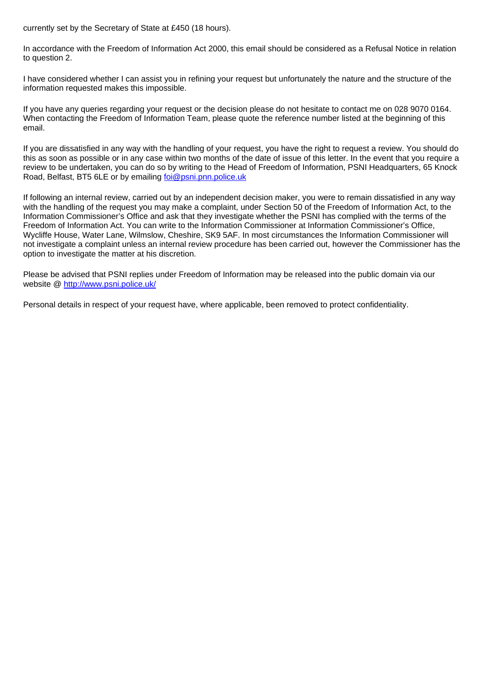currently set by the Secretary of State at £450 (18 hours).

In accordance with the Freedom of Information Act 2000, this email should be considered as a Refusal Notice in relation to question 2.

I have considered whether I can assist you in refining your request but unfortunately the nature and the structure of the information requested makes this impossible.

If you have any queries regarding your request or the decision please do not hesitate to contact me on 028 9070 0164. When contacting the Freedom of Information Team, please quote the reference number listed at the beginning of this email.

If you are dissatisfied in any way with the handling of your request, you have the right to request a review. You should do this as soon as possible or in any case within two months of the date of issue of this letter. In the event that you require a review to be undertaken, you can do so by writing to the Head of Freedom of Information, PSNI Headquarters, 65 Knock Road, Belfast, BT5 6LE or by emailing foi@psni.pnn.police.uk

If following an internal review, carried out by an independent decision maker, you were to remain dissatisfied in any way with the handling of the request you may make a complaint, under Section 50 of the Freedom of Information Act, to the Information Commissioner's Office and ask that they investigate whether the PSNI has complied with the terms of the Freedom of Information Act. You can write to the Information Commissioner at Information Commissioner's Office, Wycliffe House, Water Lane, Wilmslow, Cheshire, SK9 5AF. In most circumstances the Information Commissioner will not investigate a complaint unless an internal review procedure has been carried out, however the Commissioner has the option to investigate the matter at his discretion.

Please be advised that PSNI replies under Freedom of Information may be released into the public domain via our website @ http://www.psni.police.uk/

Personal details in respect of your request have, where applicable, been removed to protect confidentiality.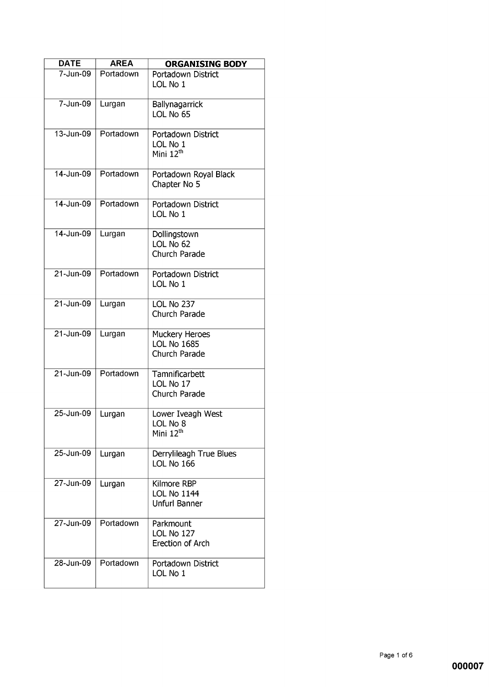| <b>DATE</b>   | <b>AREA</b> | <b>ORGANISING BODY</b>                                    |
|---------------|-------------|-----------------------------------------------------------|
| 7-Jun-09      | Portadown   | Portadown District<br>LOL No 1                            |
| 7-Jun-09      | Lurgan      | Ballynagarrick<br>LOL No 65                               |
| 13-Jun-09     | Portadown   | Portadown District<br>LOL No 1<br>Mini 12 <sup>th</sup>   |
| 14-Jun-09     | Portadown   | Portadown Royal Black<br>Chapter No 5                     |
| 14-Jun-09     | Portadown   | Portadown District<br>LOL No 1                            |
| 14-Jun-09     | Lurgan      | Dollingstown<br>LOL No 62<br>Church Parade                |
| 21-Jun-09     | Portadown   | Portadown District<br>LOL No 1                            |
| 21-Jun-09     | Lurgan      | LOL No 237<br>Church Parade                               |
| $21 - Jun-09$ | Lurgan      | Muckery Heroes<br><b>LOL No 1685</b><br>Church Parade     |
| $21 - Jun-09$ | Portadown   | Tamnificarbett<br>LOL No 17<br>Church Parade              |
| 25-Jun-09     | Lurgan      | Lower Iveagh West<br>LOL No 8<br>Mini $12th$              |
| $25$ -Jun-09  | Lurgan      | Derrylileagh True Blues<br>LOL No 166                     |
| 27-Jun-09     | Lurgan      | Kilmore RBP<br><b>LOL No 1144</b><br><b>Unfurl Banner</b> |
| 27-Jun-09     | Portadown   | Parkmount<br>LOL No 127<br>Erection of Arch               |
| 28-Jun-09     | Portadown   | Portadown District<br>LOL No 1                            |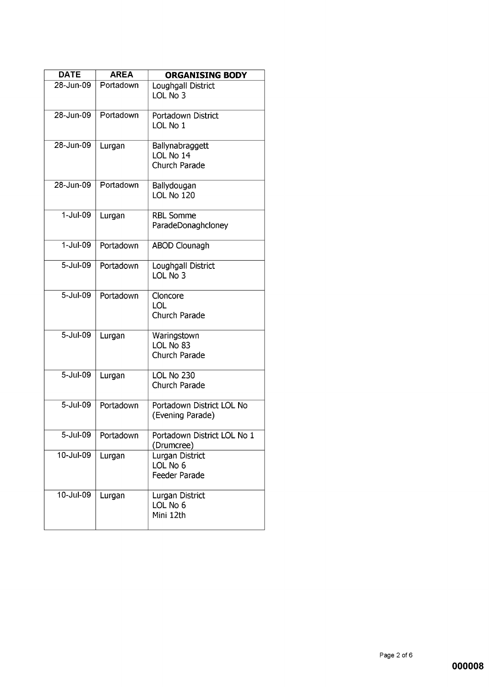| <b>DATE</b>   | <b>AREA</b> | <b>ORGANISING BODY</b>                        |
|---------------|-------------|-----------------------------------------------|
| 28-Jun-09     | Portadown   | Loughgall District<br>LOL No 3                |
| 28-Jun-09     | Portadown   | Portadown District<br>LOL No 1                |
| 28-Jun-09     | Lurgan      | Ballynabraggett<br>LOL No 14<br>Church Parade |
| 28-Jun-09     | Portadown   | Ballydougan<br>LOL No 120                     |
| $1-Jul-09$    | Lurgan      | <b>RBL Somme</b><br>ParadeDonaghcloney        |
| $1 -$ Jul-09  | Portadown   | <b>ABOD Clounagh</b>                          |
| 5-Jul-09      | Portadown   | Loughgall District<br>LOL No 3                |
| $5 -$ Jul-09  | Portadown   | Cloncore<br><b>LOL</b><br>Church Parade       |
| 5-Jul-09      | Lurgan      | Waringstown<br>LOL No 83<br>Church Parade     |
| 5-Jul-09      | Lurgan      | LOL No 230<br>Church Parade                   |
| 5-Jul-09      | Portadown   | Portadown District LOL No<br>(Evening Parade) |
| 5-Jul-09      | Portadown   | Portadown District LOL No 1<br>(Drumcree)     |
| $10 -$ Jul-09 | Lurgan      | Lurgan District<br>LOL No 6<br>Feeder Parade  |
| $10 -$ Jul-09 | Lurgan      | Lurgan District<br>LOL No 6<br>Mini 12th      |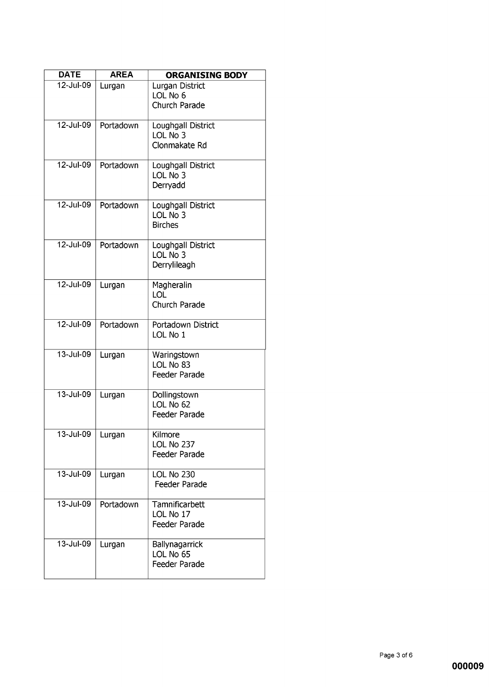| <b>DATE</b>             | <b>AREA</b> | <b>ORGANISING BODY</b>                           |
|-------------------------|-------------|--------------------------------------------------|
| 12-Jul-09               | Lurgan      | Lurgan District<br>LOL No 6<br>Church Parade     |
| 12-Jul-09               | Portadown   | Loughgall District<br>LOL No 3<br>Clonmakate Rd  |
| 12-Jul-09               | Portadown   | Loughgall District<br>LOL No 3<br>Derryadd       |
| 12-Jul-09               | Portadown   | Loughgall District<br>LOL No 3<br><b>Birches</b> |
| 12-Jul-09               | Portadown   | Loughgall District<br>LOL No 3<br>Derrylileagh   |
| 12-Jul-09               | Lurgan      | Magheralin<br>LOL<br>Church Parade               |
| 12-Jul-09               | Portadown   | Portadown District<br>LOL No 1                   |
| 13-Jul-09               | Lurgan      | Waringstown<br>LOL No 83<br>Feeder Parade        |
| $13 -$ Jul-09           | Lurgan      | Dollingstown<br>LOL No 62<br>Feeder Parade       |
| $\overline{13}$ -Jul-09 | Lurgan      | Kilmore<br>LOL No 237<br>Feeder Parade           |
| 13-Jul-09               | Lurgan      | LOL No 230<br>Feeder Parade                      |
| 13-Jul-09               | Portadown   | Tamnificarbett<br>LOL No 17<br>Feeder Parade     |
| 13-Jul-09               | Lurgan      | Ballynagarrick<br>LOL No 65<br>Feeder Parade     |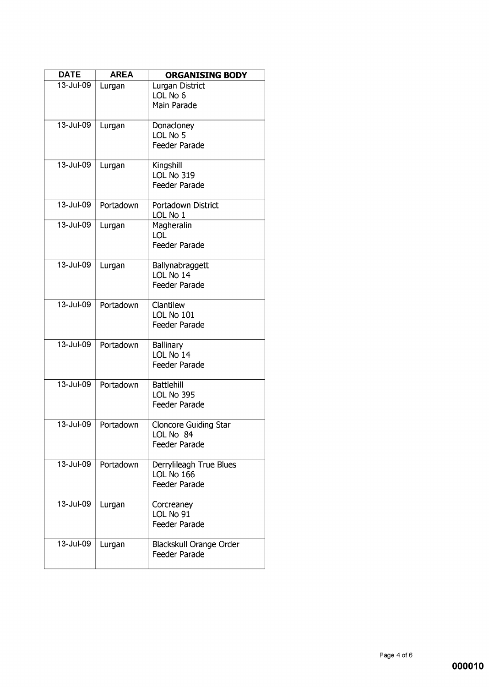| <b>DATE</b>   | <b>AREA</b> | <b>ORGANISING BODY</b>                                        |
|---------------|-------------|---------------------------------------------------------------|
| 13-Jul-09     | Lurgan      | Lurgan District<br>LOL No 6<br>Main Parade                    |
| $13 -$ Jul-09 | Lurgan      | Donacloney<br>LOL No 5<br><b>Feeder Parade</b>                |
| 13-Jul-09     | Lurgan      | Kingshill<br>LOL No 319<br><b>Feeder Parade</b>               |
| 13-Jul-09     | Portadown   | Portadown District<br>LOL No 1                                |
| 13-Jul-09     | Lurgan      | Magheralin<br>LOL<br><b>Feeder Parade</b>                     |
| $13 -$ Jul-09 | Lurgan      | Ballynabraggett<br>LOL No 14<br>Feeder Parade                 |
| 13-Jul-09     | Portadown   | Clantilew<br>LOL No 101<br>Feeder Parade                      |
| 13-Jul-09     | Portadown   | <b>Ballinary</b><br>LOL No 14<br>Feeder Parade                |
| 13-Jul-09     | Portadown   | <b>Battlehill</b><br>LOL No 395<br><b>Feeder Parade</b>       |
| $13 -$ Jul-09 | Portadown   | <b>Cloncore Guiding Star</b><br>LOL No 84<br>Feeder Parade    |
| 13-Jul-09     | Portadown   | Derrylileagh True Blues<br>LOL No 166<br><b>Feeder Parade</b> |
| 13-Jul-09     | Lurgan      | Corcreaney<br>LOL No 91<br>Feeder Parade                      |
| 13-Jul-09     | Lurgan      | Blackskull Orange Order<br>Feeder Parade                      |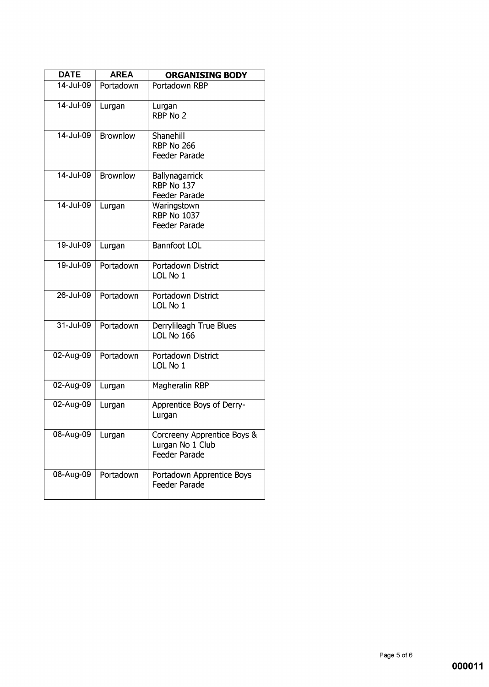| <b>DATE</b>             | <b>AREA</b>     | <b>ORGANISING BODY</b>                                           |
|-------------------------|-----------------|------------------------------------------------------------------|
| $\overline{14}$ -Jul-09 | Portadown       | Portadown RBP                                                    |
| 14-Jul-09               | Lurgan          | Lurgan<br>RBP No 2                                               |
| 14-Jul-09               | <b>Brownlow</b> | Shanehill<br><b>RBP No 266</b><br>Feeder Parade                  |
| 14-Jul-09               | <b>Brownlow</b> | Ballynagarrick<br>RBP No 137<br>Feeder Parade                    |
| 14-Jul-09               | Lurgan          | Waringstown<br><b>RBP No 1037</b><br>Feeder Parade               |
| 19-Jul-09               | Lurgan          | <b>Bannfoot LOL</b>                                              |
| 19-Jul-09               | Portadown       | Portadown District<br>LOL No 1                                   |
| 26-Jul-09               | Portadown       | Portadown District<br>LOL No 1                                   |
| $31 -$ Jul-09           | Portadown       | Derrylileagh True Blues<br>LOL No 166                            |
| 02-Aug-09               | Portadown       | Portadown District<br>LOL No 1                                   |
| 02-Aug-09               | Lurgan          | Magheralin RBP                                                   |
| 02-Aug-09               | Lurgan          | Apprentice Boys of Derry-<br>Lurgan                              |
| 08-Aug-09               | Lurgan          | Corcreeny Apprentice Boys &<br>Lurgan No 1 Club<br>Feeder Parade |
| 08-Aug-09               | Portadown       | Portadown Apprentice Boys<br>Feeder Parade                       |